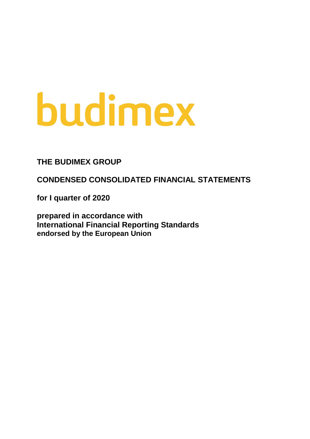# budimex

**THE BUDIMEX GROUP**

**CONDENSED CONSOLIDATED FINANCIAL STATEMENTS** 

**for I quarter of 2020**

**prepared in accordance with International Financial Reporting Standards endorsed by the European Union**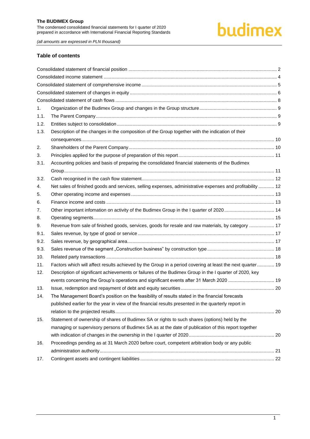# budimex

*(all amounts are expressed in PLN thousand)*

#### **Table of contents**

| 1.   |                                                                                                           |  |
|------|-----------------------------------------------------------------------------------------------------------|--|
| 1.1. |                                                                                                           |  |
| 1.2. |                                                                                                           |  |
| 1.3. | Description of the changes in the composition of the Group together with the indication of their          |  |
|      |                                                                                                           |  |
| 2.   |                                                                                                           |  |
| 3.   |                                                                                                           |  |
| 3.1. | Accounting policies and basis of preparing the consolidated financial statements of the Budimex           |  |
|      |                                                                                                           |  |
| 3.2. |                                                                                                           |  |
| 4.   | Net sales of finished goods and services, selling expenses, administrative expenses and profitability  12 |  |
| 5.   |                                                                                                           |  |
| 6.   |                                                                                                           |  |
| 7.   |                                                                                                           |  |
| 8.   |                                                                                                           |  |
| 9.   | Revenue from sale of finished goods, services, goods for resale and raw materials, by category  17        |  |
| 9.1. |                                                                                                           |  |
| 9.2. |                                                                                                           |  |
| 9.3. |                                                                                                           |  |
| 10.  |                                                                                                           |  |
| 11.  | Factors which will affect results achieved by the Group in a period covering at least the next quarter 19 |  |
| 12.  | Description of significant achievements or failures of the Budimex Group in the I quarter of 2020, key    |  |
|      | events concerning the Group's operations and significant events after 31 March 2020  19                   |  |
| 13.  |                                                                                                           |  |
| 14.  | The Management Board's position on the feasibility of results stated in the financial forecasts           |  |
|      | published earlier for the year in view of the financial results presented in the quarterly report in      |  |
|      |                                                                                                           |  |
| 15.  | Statement of ownership of shares of Budimex SA or rights to such shares (options) held by the             |  |
|      | managing or supervisory persons of Budimex SA as at the date of publication of this report together       |  |
|      |                                                                                                           |  |
| 16.  | Proceedings pending as at 31 March 2020 before court, competent arbitration body or any public            |  |
|      |                                                                                                           |  |
| 17.  |                                                                                                           |  |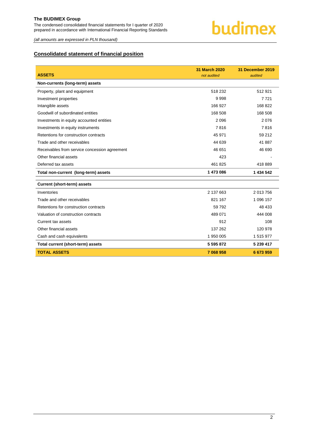

*(all amounts are expressed in PLN thousand)*

### <span id="page-2-0"></span>**Consolidated statement of financial position**

|                                               | <b>31 March 2020</b> | 31 December 2019 |
|-----------------------------------------------|----------------------|------------------|
| <b>ASSETS</b>                                 | not audited          | audited          |
| Non-currents (long-term) assets               |                      |                  |
| Property, plant and equipment                 | 518 232              | 512 921          |
| Investment properties                         | 9998                 | 7721             |
| Intangible assets                             | 166 927              | 168 822          |
| Goodwill of subordinated entities             | 168 508              | 168 508          |
| Investments in equity accounted entities      | 2096                 | 2076             |
| Investments in equity instruments             | 7816                 | 7816             |
| Retentions for construction contracts         | 45 971               | 59 212           |
| Trade and other receivables                   | 44 639               | 41 887           |
| Receivables from service concession agreement | 46 651               | 46 690           |
| Other financial assets                        | 423                  |                  |
| Deferred tax assets                           | 461 825              | 418 889          |
| Total non-current (long-term) assets          | 1 473 086            | 1 434 542        |
| <b>Current (short-term) assets</b>            |                      |                  |
| Inventories                                   | 2 137 663            | 2 013 756        |
| Trade and other receivables                   | 821 167              | 1 096 157        |
| Retentions for construction contracts         | 59 792               | 48 433           |
| Valuation of construction contracts           | 489 071              | 444 008          |
| Current tax assets                            | 912                  | 108              |
| Other financial assets                        | 137 262              | 120 978          |
| Cash and cash equivalents                     | 1 950 005            | 1515977          |
| Total current (short-term) assets             | 5 595 872            | 5 239 417        |
| <b>TOTAL ASSETS</b>                           | 7 068 958            | 6 673 959        |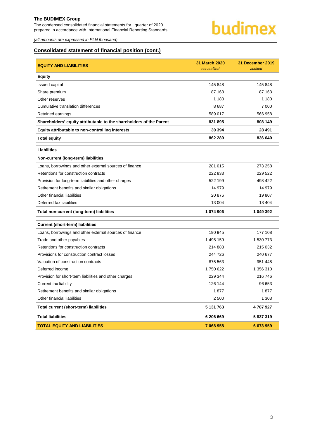The condensed consolidated financial statements for I quarter of 2020 prepared in accordance with International Financial Reporting Standards



*(all amounts are expressed in PLN thousand)*

### **Consolidated statement of financial position (cont.)**

| <b>EQUITY AND LIABILITIES</b>                                       | <b>31 March 2020</b><br>not audited | 31 December 2019<br>audited |
|---------------------------------------------------------------------|-------------------------------------|-----------------------------|
| <b>Equity</b>                                                       |                                     |                             |
| <b>Issued capital</b>                                               | 145 848                             | 145 848                     |
| Share premium                                                       | 87 163                              | 87 163                      |
| Other reserves                                                      | 1 1 8 0                             | 1 1 8 0                     |
| Cumulative translation differences                                  | 8687                                | 7 0 0 0                     |
| Retained earnings                                                   | 589 017                             | 566 958                     |
| Shareholders' equity attributable to the shareholders of the Parent | 831 895                             | 808 149                     |
| Equity attributable to non-controlling interests                    | 30 394                              | 28 491                      |
| <b>Total equity</b>                                                 | 862 289                             | 836 640                     |
| <b>Liabilities</b>                                                  |                                     |                             |
| Non-current (long-term) liabilities                                 |                                     |                             |
| Loans, borrowings and other external sources of finance             | 281 015                             | 273 258                     |
| Retentions for construction contracts                               | 222 833                             | 229 522                     |
| Provision for long-term liabilities and other charges               | 522 199                             | 498 422                     |
| Retirement benefits and similar obligations                         | 14 979                              | 14 979                      |
| Other financial liabilities                                         | 20 876                              | 19807                       |
| Deferred tax liabilities                                            | 13 004                              | 13 4 04                     |
| Total non-current (long-term) liabilities                           | 1 074 906                           | 1 049 392                   |
| <b>Current (short-term) liabilities</b>                             |                                     |                             |
| Loans, borrowings and other external sources of finance             | 190 945                             | 177 108                     |
| Trade and other payables                                            | 1 495 159                           | 1 530 773                   |
| Retentions for construction contracts                               | 214 883                             | 215 032                     |
| Provisions for construction contract losses                         | 244 726                             | 240 677                     |
| Valuation of construction contracts                                 | 875 563                             | 951 448                     |
| Deferred income                                                     | 1750 622                            | 1 356 310                   |
| Provision for short-term liabilities and other charges              | 229 344                             | 216 746                     |
| Current tax liability                                               | 126 144                             | 96 653                      |
| Retirement benefits and similar obligations                         | 1877                                | 1877                        |
| Other financial liabilities                                         | 2 500                               | 1 3 0 3                     |
| Total current (short-term) liabilities                              | 5 131 763                           | 4787927                     |
| <b>Total liabilities</b>                                            | 6 206 669                           | 5 837 319                   |
| <b>TOTAL EQUITY AND LIABILITIES</b>                                 | 7 068 958                           | 6 673 959                   |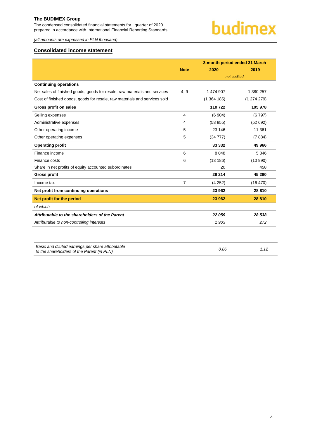The condensed consolidated financial statements for I quarter of 2020 prepared in accordance with International Financial Reporting Standards

*(all amounts are expressed in PLN thousand)*

### <span id="page-4-0"></span>**Consolidated income statement**

|                                                                                                 | <b>Note</b> | 3-month period ended 31 March<br>2020 | 2019      |
|-------------------------------------------------------------------------------------------------|-------------|---------------------------------------|-----------|
|                                                                                                 |             | not audited                           |           |
| <b>Continuing operations</b>                                                                    |             |                                       |           |
| Net sales of finished goods, goods for resale, raw materials and services                       | 4, 9        | 1 474 907                             | 1 380 257 |
|                                                                                                 |             |                                       |           |
| Cost of finished goods, goods for resale, raw materials and services sold                       |             | (1364185)                             | (1274279) |
| Gross profit on sales                                                                           |             | 110722                                | 105 978   |
| Selling expenses                                                                                | 4           | (6904)                                | (6797)    |
| Administrative expenses                                                                         | 4           | (58855)                               | (52692)   |
| Other operating income                                                                          | 5           | 23 146                                | 11 361    |
| Other operating expenses                                                                        | 5           | (34777)                               | (7884)    |
| <b>Operating profit</b>                                                                         |             | 33 332                                | 49 966    |
| Finance income                                                                                  | 6           | 8 0 4 8                               | 5846      |
| Finance costs                                                                                   | 6           | (13186)                               | (10990)   |
| Share in net profits of equity accounted subordinates                                           |             | 20                                    | 458       |
| <b>Gross profit</b>                                                                             |             | 28 214                                | 45 280    |
| Income tax                                                                                      | 7           | (4252)                                | (16 470)  |
| Net profit from continuing operations                                                           |             | 23 962                                | 28 8 10   |
| Net profit for the period                                                                       |             | 23 962                                | 28 810    |
| of which:                                                                                       |             |                                       |           |
| Attributable to the shareholders of the Parent                                                  |             | 22 059                                | 28 538    |
| Attributable to non-controlling interests                                                       |             | 1903                                  | 272       |
|                                                                                                 |             |                                       |           |
| Basic and diluted earnings per share attributable<br>to the shareholders of the Parent (in PLN) |             | 0.86                                  | 1.12      |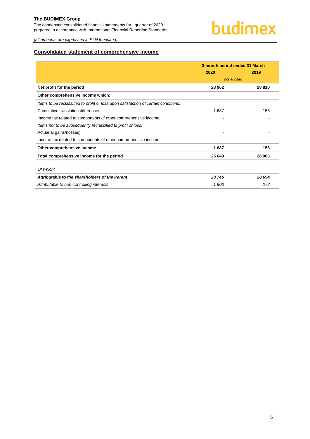The condensed consolidated financial statements for I quarter of 2020 prepared in accordance with International Financial Reporting Standards

*(all amounts are expressed in PLN thousand)*

### <span id="page-5-0"></span>**Consolidated statement of comprehensive income**

|                                                                                     | 3-month period ended 31 March |        |  |
|-------------------------------------------------------------------------------------|-------------------------------|--------|--|
|                                                                                     | 2020                          | 2019   |  |
|                                                                                     | not audited                   |        |  |
| Net profit for the period                                                           | 23 962                        | 28 810 |  |
| Other comprehensive income which:                                                   |                               |        |  |
| Items to be reclassified to profit or loss upon satisfaction of certain conditions: |                               |        |  |
| Cumulative translation differences                                                  | 1687                          | 156    |  |
| Income tax related to components of other comprehensive income                      |                               |        |  |
| Items not to be subsequently reclassified to profit or loss:                        |                               |        |  |
| Actuarial gains/(losses)                                                            |                               |        |  |
| Income tax related to components of other comprehensive income                      |                               |        |  |
| Other comprehensive income                                                          | 1687                          | 156    |  |
| Total comprehensive income for the period                                           | 25 649                        | 28 966 |  |
|                                                                                     |                               |        |  |
| Of which:                                                                           |                               |        |  |
| Attributable to the shareholders of the Parent                                      | 23 746                        | 28 694 |  |
| Attributable to non-controlling interests                                           | 1903                          | 272    |  |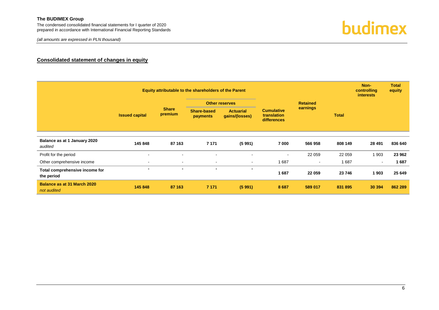*(all amounts are expressed in PLN thousand)*



#### **Consolidated statement of changes in equity**

<span id="page-6-0"></span>

|                                              | Equity attributable to the shareholders of the Parent |                                       |                                    |                                                 |                |                 |         | Non-<br>controlling<br><i>interests</i> | <b>Total</b><br>equity |  |  |
|----------------------------------------------|-------------------------------------------------------|---------------------------------------|------------------------------------|-------------------------------------------------|----------------|-----------------|---------|-----------------------------------------|------------------------|--|--|
|                                              |                                                       |                                       | <b>Other reserves</b>              |                                                 |                | <b>Retained</b> |         |                                         |                        |  |  |
| <b>Issued capital</b>                        | <b>Share</b><br>premium                               | <b>Share-based</b><br><b>payments</b> | <b>Actuarial</b><br>gains/(losses) | <b>Cumulative</b><br>translation<br>differences |                |                 |         | earnings                                | <b>Total</b>           |  |  |
|                                              |                                                       |                                       |                                    |                                                 |                |                 |         |                                         |                        |  |  |
| Balance as at 1 January 2020<br>audited      | 145 848                                               | 87 163                                | 7 1 7 1                            | (5991)                                          | 7 000          | 566 958         | 808 149 | 28 4 91                                 | 836 640                |  |  |
| Profit for the period                        | $\blacksquare$                                        | $\sim$                                | $\sim$                             |                                                 | $\blacksquare$ | 22 059          | 22 059  | 1 903                                   | 23 962                 |  |  |
| Other comprehensive income                   | $\blacksquare$                                        | $\sim$                                | $\sim$                             | $\sim$                                          | 1687           | $\sim$          | 1687    | $\overline{\phantom{a}}$                | 1687                   |  |  |
| Total comprehensive income for<br>the period | $\blacksquare$                                        | $\blacksquare$                        | $\blacksquare$                     | $\blacksquare$                                  | 1687           | 22 059          | 23 746  | 1903                                    | 25 649                 |  |  |
| Balance as at 31 March 2020<br>not audited   | 145 848                                               | 87 163                                | 7 1 7 1                            | (5991)                                          | 8687           | 589 017         | 831 895 | 30 394                                  | 862 289                |  |  |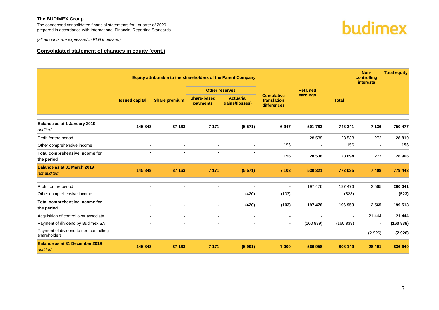The condensed consolidated financial statements for I quarter of 2020 prepared in accordance with International Financial Reporting Standards



*(all amounts are expressed in PLN thousand)*

#### **Consolidated statement of changes in equity (cont.)**

|                                                        |                       |                      |                                | Equity attributable to the shareholders of the Parent Company |                                                 |                 |                          | Non-<br>controlling<br>interests | <b>Total equity</b> |
|--------------------------------------------------------|-----------------------|----------------------|--------------------------------|---------------------------------------------------------------|-------------------------------------------------|-----------------|--------------------------|----------------------------------|---------------------|
|                                                        |                       |                      | <b>Other reserves</b>          |                                                               |                                                 | <b>Retained</b> |                          |                                  |                     |
|                                                        | <b>Issued capital</b> | <b>Share premium</b> | <b>Share-based</b><br>payments | <b>Actuarial</b><br>gains/(losses)                            | <b>Cumulative</b><br>translation<br>differences | earnings        | <b>Total</b>             |                                  |                     |
| Balance as at 1 January 2019<br>audited                | 145 848               | 87 163               | 7 1 7 1                        | (5571)                                                        | 6947                                            | 501 783         | 743 341                  | 7 1 3 6                          | 750 477             |
| Profit for the period                                  |                       |                      |                                |                                                               |                                                 | 28 538          | 28 538                   | 272                              | 28 810              |
| Other comprehensive income                             |                       |                      |                                |                                                               | 156                                             | $\blacksquare$  | 156                      |                                  | 156                 |
| Total comprehensive income for<br>the period           | $\blacksquare$        | $\blacksquare$       | $\blacksquare$                 | $\blacksquare$                                                | 156                                             | 28 538          | 28 694                   | 272                              | 28 966              |
| <b>Balance as at 31 March 2019</b><br>not audited      | 145 848               | 87 163               | 7 1 7 1                        | (5571)                                                        | 7 103                                           | 530 321         | 772 035                  | 7 4 0 8                          | 779 443             |
| Profit for the period                                  | $\mathbf{r}$          |                      | $\blacksquare$                 |                                                               |                                                 | 197 476         | 197 476                  | 2565                             | 200 041             |
| Other comprehensive income                             |                       | $\blacksquare$       | $\blacksquare$                 | (420)                                                         | (103)                                           | $\sim$          | (523)                    | $\overline{\phantom{a}}$         | (523)               |
| Total comprehensive income for<br>the period           |                       |                      | $\blacksquare$                 | (420)                                                         | (103)                                           | 197 476         | 196 953                  | 2565                             | 199 518             |
| Acquisition of control over associate                  |                       | $\blacksquare$       | $\blacksquare$                 |                                                               |                                                 | $\blacksquare$  | $\sim$                   | 21 4 4 4                         | 21 444              |
| Payment of dividend by Budimex SA                      |                       |                      | $\blacksquare$                 |                                                               | $\overline{\phantom{a}}$                        | (160 839)       | (160 839)                |                                  | (160 839)           |
| Payment of dividend to non-controlling<br>shareholders |                       |                      | L,                             |                                                               |                                                 |                 | $\overline{\phantom{a}}$ | (2926)                           | (2926)              |
| <b>Balance as at 31 December 2019</b><br>audited       | 145 848               | 87 163               | 7 1 7 1                        | (5991)                                                        | 7 000                                           | 566 958         | 808 149                  | 28 4 91                          | 836 640             |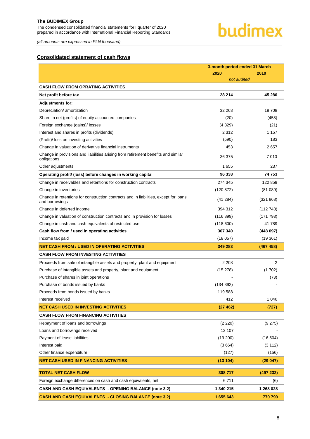# budimex

*(all amounts are expressed in PLN thousand)*

#### <span id="page-8-0"></span>**Consolidated statement of cash flows**

|                                                                                                        | 3-month period ended 31 March |           |  |
|--------------------------------------------------------------------------------------------------------|-------------------------------|-----------|--|
|                                                                                                        | 2020                          | 2019      |  |
|                                                                                                        | not audited                   |           |  |
| <b>CASH FLOW FROM OPRATING ACTIVITIES</b>                                                              |                               |           |  |
| Net profit before tax                                                                                  | 28 214                        | 45 280    |  |
| <b>Adjustments for:</b>                                                                                |                               |           |  |
| Depreciation/ amortization                                                                             | 32 268                        | 18708     |  |
| Share in net (profits) of equity accounted companies                                                   | (20)                          | (458)     |  |
| Foreign exchange (gains)/ losses                                                                       | (4329)                        | (21)      |  |
| Interest and shares in profits (dividends)                                                             | 2 3 1 2                       | 1 1 5 7   |  |
| (Profit)/ loss on investing activities                                                                 | (590)                         | 183       |  |
| Change in valuation of derivative financial instruments                                                | 453                           | 2657      |  |
| Change in provisions and liabilities arising from retirement benefits and similar<br>obligations       | 36 375                        | 7 0 1 0   |  |
| Other adjustments                                                                                      | 1655                          | 237       |  |
| Operating profit/ (loss) before changes in working capital                                             | 96 338                        | 74 753    |  |
| Change in receivables and retentions for construction contracts                                        | 274 345                       | 122 859   |  |
| Change in inventories                                                                                  | (120 872)                     | (81089)   |  |
| Change in retentions for construction contracts and in liabilities, except for loans<br>and borrowings | (41 284)                      | (321 868) |  |
| Change in deferred income                                                                              | 394 312                       | (112748)  |  |
| Change in valuation of construction contracts and in provision for losses                              | (116 899)                     | (171793)  |  |
| Change in cash and cash equivalents of restricted use                                                  | (118600)                      | 41789     |  |
| Cash flow from / used in operating activities                                                          | 367 340                       | (448097)  |  |
| Income tax paid                                                                                        | (18057)                       | (19361)   |  |
| <b>NET CASH FROM / USED IN OPERATING ACTIVITIES</b>                                                    | 349 283                       | (467 458) |  |
| <b>CASH FLOW FROM INVESTING ACTIVITIES</b>                                                             |                               |           |  |
| Proceeds from sale of intangible assets and property, plant and equipment                              | 2 2 0 8                       | 2         |  |
| Purchase of intangible assets and property, plant and equipment                                        | (15278)                       | (1702)    |  |
| Purchase of shares in joint operations                                                                 |                               | (73)      |  |
| Purchase of bonds issued by banks                                                                      | (134392)                      |           |  |
| Proceeds from bonds issued by banks                                                                    | 119 588                       |           |  |
| Interest received                                                                                      | 412                           | 1 0 4 6   |  |
| <b>NET CASH USED IN INVESTING ACTIVITIES</b>                                                           | (27462)                       | (727)     |  |
| <b>CASH FLOW FROM FINANCING ACTIVITIES</b>                                                             |                               |           |  |
| Repayment of loans and borrowings                                                                      | (2 220)                       | (9 275)   |  |
| Loans and borrowings received                                                                          | 12 107                        |           |  |
| Payment of lease liabilities                                                                           | (19 200)                      | (16 504)  |  |
| Interest paid                                                                                          | (3664)                        | (3 112)   |  |
| Other finance expenditure                                                                              | (127)                         | (156)     |  |
| <b>NET CASH USED IN FINANCING ACTIVITIES</b>                                                           | (13104)                       | (29047)   |  |
| <b>TOTAL NET CASH FLOW</b>                                                                             | 308717                        | (497 232) |  |
| Foreign exchange differences on cash and cash equivalents, net                                         | 6711                          | (6)       |  |
| CASH AND CASH EQUIVALENTS - OPENING BALANCE (note 3.2)                                                 | 1 340 215                     | 1 268 028 |  |
| <b>CASH AND CASH EQUIVALENTS - CLOSING BALANCE (note 3.2)</b>                                          | 1 655 643                     | 770 790   |  |
|                                                                                                        |                               |           |  |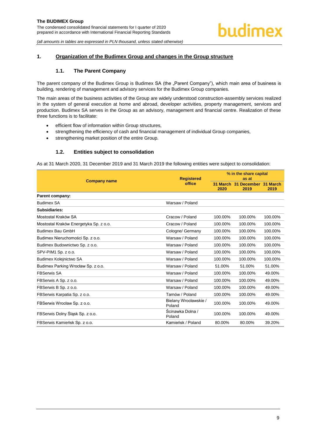#### <span id="page-9-1"></span><span id="page-9-0"></span>**1. Organization of the Budimex Group and changes in the Group structure**

#### **1.1. The Parent Company**

The parent company of the Budimex Group is Budimex SA (the "Parent Company"), which main area of business is building, rendering of management and advisory services for the Budimex Group companies.

The main areas of the business activities of the Group are widely understood construction-assembly services realized in the system of general execution at home and abroad, developer activities, property management, services and production. Budimex SA serves in the Group as an advisory, management and financial centre. Realization of these three functions is to facilitate:

- efficient flow of information within Group structures,
- strengthening the efficiency of cash and financial management of individual Group companies,
- strengthening market position of the entire Group.

#### **1.2. Entities subject to consolidation**

<span id="page-9-2"></span>As at 31 March 2020, 31 December 2019 and 31 March 2019 the following entities were subject to consolidation:

| <b>Company name</b>                    | <b>Registered</b>               | % in the share capital<br>as at |                                       |         |  |
|----------------------------------------|---------------------------------|---------------------------------|---------------------------------------|---------|--|
|                                        | office                          | 2020                            | 31 March 31 December 31 March<br>2019 | 2019    |  |
| Parent company:                        |                                 |                                 |                                       |         |  |
| <b>Budimex SA</b>                      | Warsaw / Poland                 |                                 |                                       |         |  |
| Subsidiaries:                          |                                 |                                 |                                       |         |  |
| Mostostal Kraków SA                    | Cracow / Poland                 | 100.00%                         | 100.00%                               | 100.00% |  |
| Mostostal Kraków Energetyka Sp. z o.o. | Cracow / Poland                 | 100.00%                         | 100.00%                               | 100.00% |  |
| <b>Budimex Bau GmbH</b>                | Cologne/ Germany                | 100.00%                         | 100.00%                               | 100.00% |  |
| Budimex Nieruchomości Sp. z o.o.       | Warsaw / Poland                 | 100.00%                         | 100.00%                               | 100.00% |  |
| Budimex Budownictwo Sp. z o.o.         | Warsaw / Poland                 | 100.00%                         | 100.00%                               | 100.00% |  |
| SPV-PIM1 Sp. z o.o.                    | Warsaw / Poland                 | 100.00%                         | 100.00%                               | 100.00% |  |
| Budimex Kolejnictwo SA                 | Warsaw / Poland                 | 100.00%                         | 100.00%                               | 100.00% |  |
| Budimex Parking Wrocław Sp. z o.o.     | Warsaw / Poland                 | 51.00%                          | 51.00%                                | 51.00%  |  |
| <b>FBSerwis SA</b>                     | Warsaw / Poland                 | 100.00%                         | 100.00%                               | 49.00%  |  |
| FBSerwis A Sp. z o.o.                  | Warsaw / Poland                 | 100.00%                         | 100.00%                               | 49.00%  |  |
| FBSerwis B Sp. z o.o.                  | Warsaw / Poland                 | 100.00%                         | 100.00%                               | 49.00%  |  |
| FBSerwis Karpatia Sp. z o.o.           | Tarnów / Poland                 | 100.00%                         | 100.00%                               | 49.00%  |  |
| FBSerwis Wrocław Sp. z o.o.            | Bielany Wrocławskie /<br>Poland | 100.00%                         | 100.00%                               | 49.00%  |  |
| FBSerwis Dolny Śląsk Sp. z o.o.        | Ścinawka Dolna /<br>Poland      | 100.00%                         | 100.00%                               | 49.00%  |  |
| FBSerwis Kamieńsk Sp. z o.o.           | Kamieńsk / Poland               | 80.00%                          | 80.00%                                | 39.20%  |  |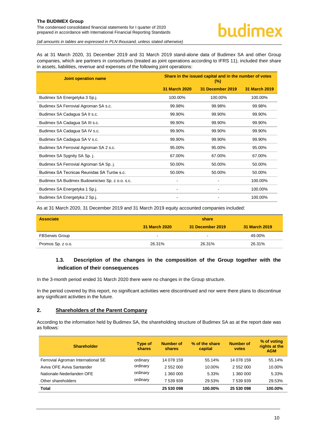The condensed consolidated financial statements for I quarter of 2020 prepared in accordance with International Financial Reporting Standards

*(all amounts in tables are expressed in PLN thousand, unless stated otherwise)*

As at 31 March 2020, 31 December 2019 and 31 March 2019 stand-alone data of Budimex SA and other Group companies, which are partners in consortiums (treated as joint operations according to IFRS 11), included their share in assets, liabilities, revenue and expenses of the following joint operations:

| <b>Joint operation name</b>                    | Share in the issued capital and in the number of votes<br>$(\%)$ |                  |                      |  |  |  |
|------------------------------------------------|------------------------------------------------------------------|------------------|----------------------|--|--|--|
|                                                | <b>31 March 2020</b>                                             | 31 December 2019 | <b>31 March 2019</b> |  |  |  |
| Budimex SA Energetyka 3 Sp.j.                  | 100.00%                                                          | 100.00%          | 100.00%              |  |  |  |
| Budimex SA Ferrovial Agroman SA s.c.           | 99.98%                                                           | 99.98%           | 99.98%               |  |  |  |
| Budimex SA Cadagua SA II s.c.                  | 99.90%                                                           | 99.90%           | 99.90%               |  |  |  |
| Budimex SA Cadagua SA III s.c.                 | 99.90%                                                           | 99.90%           | 99.90%               |  |  |  |
| Budimex SA Cadagua SA IV s.c.                  | 99.90%                                                           | 99.90%           | 99.90%               |  |  |  |
| Budimex SA Cadagua SA V s.c.                   | 99.90%                                                           | 99.90%           | 99.90%               |  |  |  |
| Budimex SA Ferrovial Agroman SA 2 s.c.         | 95.00%                                                           | 95.00%           | 95.00%               |  |  |  |
| Budimex SA Sygnity SA Sp. j.                   | 67.00%                                                           | 67.00%           | 67.00%               |  |  |  |
| Budimex SA Ferrovial Agroman SA Sp. j.         | 50.00%                                                           | 50.00%           | 50.00%               |  |  |  |
| Budimex SA Tecnicas Reunidas SA Turów s.c.     | 50.00%                                                           | 50.00%           | 50.00%               |  |  |  |
| Budimex SA Budimex Budownictwo Sp. z o.o. s.c. |                                                                  |                  | 100.00%              |  |  |  |
| Budimex SA Energetyka 1 Sp.j.                  |                                                                  |                  | 100.00%              |  |  |  |
| Budimex SA Energetyka 2 Sp.j.                  |                                                                  |                  | 100.00%              |  |  |  |

As at 31 March 2020, 31 December 2019 and 31 March 2019 equity accounted companies included:

| <b>Associate</b>      | share         |                  |               |  |  |  |
|-----------------------|---------------|------------------|---------------|--|--|--|
|                       | 31 March 2020 | 31 December 2019 | 31 March 2019 |  |  |  |
| <b>FBSerwis Group</b> | $\,$ $\,$     | $\blacksquare$   | 49.00%        |  |  |  |
| Promos Sp. z o.o.     | 26.31%        | 26.31%           | 26.31%        |  |  |  |

# <span id="page-10-0"></span>**1.3. Description of the changes in the composition of the Group together with the indication of their consequences**

In the 3-month period ended 31 March 2020 there were no changes in the Group structure.

In the period covered by this report, no significant activities were discontinued and nor were there plans to discontinue any significant activities in the future.

#### <span id="page-10-1"></span>**2. Shareholders of the Parent Company**

According to the information held by Budimex SA, the shareholding structure of Budimex SA as at the report date was as follows:

| <b>Shareholder</b>                 | <b>Type of</b><br><b>shares</b> | Number of<br>shares | % of the share<br>capital | <b>Number of</b><br>votes | % of voting<br>rights at the<br><b>AGM</b> |
|------------------------------------|---------------------------------|---------------------|---------------------------|---------------------------|--------------------------------------------|
| Ferrovial Agroman International SE | ordinary                        | 14 078 159          | 55.14%                    | 14 078 159                | 55.14%                                     |
| Aviva OFE Aviva Santander          | ordinary                        | 2 552 000           | 10.00%                    | 2 552 000                 | 10.00%                                     |
| Nationale-Nederlanden OFE          | ordinary                        | 1 360 000           | 5.33%                     | 1 360 000                 | 5.33%                                      |
| Other shareholders                 | ordinary                        | 7 539 939           | 29.53%                    | 7 539 939                 | 29.53%                                     |
| Total                              |                                 | 25 530 098          | 100.00%                   | 25 530 098                | 100.00%                                    |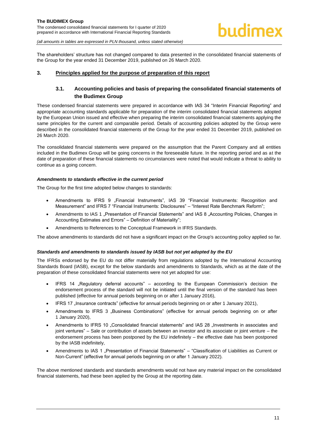

The shareholders' structure has not changed compared to data presented in the consolidated financial statements of the Group for the year ended 31 December 2019, published on 26 March 2020.

#### <span id="page-11-1"></span><span id="page-11-0"></span>**3. Principles applied for the purpose of preparation of this report**

# **3.1. Accounting policies and basis of preparing the consolidated financial statements of the Budimex Group**

These condensed financial statements were prepared in accordance with IAS 34 "Interim Financial Reporting" and appropriate accounting standards applicable for preparation of the interim consolidated financial statements adopted by the European Union issued and effective when preparing the interim consolidated financial statements applying the same principles for the current and comparable period. Details of accounting policies adopted by the Group were described in the consolidated financial statements of the Group for the year ended 31 December 2019, published on 26 March 2020.

The consolidated financial statements were prepared on the assumption that the Parent Company and all entities included in the Budimex Group will be going concerns in the foreseeable future. In the reporting period and as at the date of preparation of these financial statements no circumstances were noted that would indicate a threat to ability to continue as a going concern.

#### *Amendments to standards effective in the current period*

The Group for the first time adopted below changes to standards:

- Amendments to IFRS 9 "Financial Instruments", IAS 39 "Financial Instruments: Recognition and Measurement" and IFRS 7 "Financial Instruments: Disclosures" – "Interest Rate Benchmark Reform";
- Amendments to IAS 1 "Presentation of Financial Statements" and IAS 8 "Accounting Policies, Changes in Accounting Estimates and Errors" – Definition of Materiality";
- Amendments to References to the Conceptual Framework in IFRS Standards.

The above amendments to standards did not have a significant impact on the Group's accounting policy applied so far.

#### *Standards and amendments to standards issued by IASB but not yet adopted by the EU*

The IFRSs endorsed by the EU do not differ materially from regulations adopted by the International Accounting Standards Board (IASB), except for the below standards and amendments to Standards, which as at the date of the preparation of these consolidated financial statements were not yet adopted for use:

- IFRS 14 "Regulatory deferral accounts" according to the European Commission's decision the endorsement process of the standard will not be initiated until the final version of the standard has been published (effective for annual periods beginning on or after 1 January 2016),
- IFRS 17 "Insurance contracts" (effective for annual periods beginning on or after 1 January 2021),
- Amendments to IFRS 3 "Business Combinations" (effective for annual periods beginning on or after 1 January 2020),
- Amendments to IFRS 10 "Consolidated financial statements" and IAS 28 "Investments in associates and joint ventures" – Sale or contribution of assets between an investor and its associate or joint venture – the endorsement process has been postponed by the EU indefinitely – the effective date has been postponed by the IASB indefinitely,
- Amendments to IAS 1 "Presentation of Financial Statements" "Classification of Liabilities as Current or Non-Current" (effective for annual periods beginning on or after 1 January 2022).

The above mentioned standards and standards amendments would not have any material impact on the consolidated financial statements, had these been applied by the Group at the reporting date.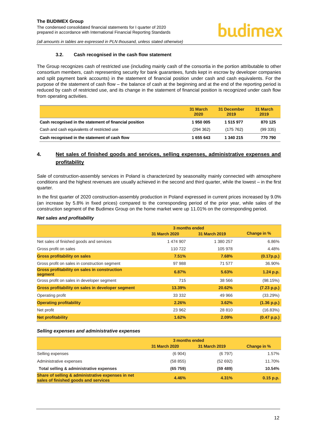#### **3.2. Cash recognised in the cash flow statement**

<span id="page-12-0"></span>The Group recognizes cash of restricted use (including mainly cash of the consortia in the portion attributable to other consortium members, cash representing security for bank guarantees, funds kept in escrow by developer companies and split payment bank accounts) in the statement of financial position under cash and cash equivalents. For the purpose of the statement of cash flow – the balance of cash at the beginning and at the end of the reporting period is reduced by cash of restricted use, and its change in the statement of financial position is recognized under cash flow from operating activities.

|                                                        | 31 March<br>2020 | 31 December<br>2019 | 31 March<br>2019 |
|--------------------------------------------------------|------------------|---------------------|------------------|
| Cash recognised in the statement of financial position | 1950005          | 1 515 977           | 870 125          |
| Cash and cash equivalents of restricted use            | (294 362)        | (175762)            | (99335)          |
| Cash recognised in the statement of cash flow          | 1 655 643        | 1 340 215           | 770 790          |

# <span id="page-12-1"></span>**4. Net sales of finished goods and services, selling expenses, administrative expenses and profitability**

Sale of construction-assembly services in Poland is characterized by seasonality mainly connected with atmosphere conditions and the highest revenues are usually achieved in the second and third quarter, while the lowest – in the first quarter.

In the first quarter of 2020 construction-assembly production in Poland expressed in current prices increased by 9.0% (an increase by 5.8% in fixed prices) compared to the corresponding period of the prior year, while sales of the construction segment of the Budimex Group on the home market were up 11.01% on the corresponding period.

#### *Net sales and profitability*

|                                                                | 3 months ended       |                      |             |  |
|----------------------------------------------------------------|----------------------|----------------------|-------------|--|
|                                                                | <b>31 March 2020</b> | <b>31 March 2019</b> | Change in % |  |
| Net sales of finished goods and services                       | 1 474 907            | 1 380 257            | 6.86%       |  |
| Gross profit on sales                                          | 110 722              | 105 978              | 4.48%       |  |
| <b>Gross profitability on sales</b>                            | 7.51%                | 7.68%                | (0.17p.p.)  |  |
| Gross profit on sales in construction segment                  | 97 988               | 71 577               | 36.90%      |  |
| <b>Gross profitability on sales in construction</b><br>segment | 6.87%                | 5.63%                | 1.24 p.p.   |  |
| Gross profit on sales in developer segment                     | 715                  | 38 566               | (98.15%)    |  |
| Gross profitability on sales in developer segment              | 13.39%               | 20.62%               | (7.23 p.p.) |  |
| Operating profit                                               | 33 332               | 49 966               | (33.29%)    |  |
| <b>Operating profitability</b>                                 | 2.26%                | 3.62%                | (1.36 p.p.) |  |
| Net profit                                                     | 23 962               | 28 810               | (16.83%)    |  |
| <b>Net profitability</b>                                       | 1.62%                | 2.09%                | (0.47 p.p.) |  |

#### *Selling expenses and administrative expenses*

|                                                                                           | 3 months ended       |               |             |  |
|-------------------------------------------------------------------------------------------|----------------------|---------------|-------------|--|
|                                                                                           | <b>31 March 2020</b> | 31 March 2019 | Change in % |  |
| Selling expenses                                                                          | (6904)               | (6797)        | 1.57%       |  |
| Administrative expenses                                                                   | (58855)              | (52692)       | 11.70%      |  |
| Total selling & administrative expenses                                                   | (65759)              | (59 489)      | 10.54%      |  |
| Share of selling & administrative expenses in net<br>sales of finished goods and services | 4.46%                | 4.31%         | $0.15$ p.p. |  |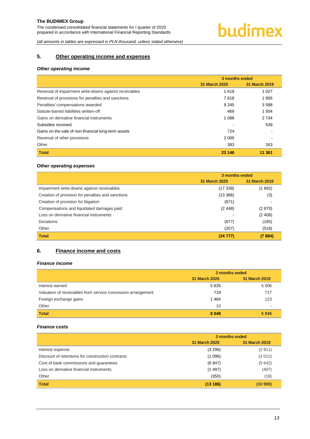# budimex

*(all amounts in tables are expressed in PLN thousand, unless stated otherwise)*

# <span id="page-13-0"></span>**5. Other operating income and expenses**

#### *Other operating income*

|                                                        | 3 months ended |               |  |
|--------------------------------------------------------|----------------|---------------|--|
|                                                        | 31 March 2020  | 31 March 2019 |  |
| Reversal of impairment write-downs against receivables | 1619           | 1 0 2 7       |  |
| Reversal of provisions for penalties and sanctions     | 7618           | 1806          |  |
| Penalties/compensations awarded                        | 9 2 4 5        | 3588          |  |
| Statute-barred liabilities written-off                 | 469            | 1 504         |  |
| Gains on derivative financial instruments              | 1 0 8 8        | 2 7 3 4       |  |
| Subsidies received                                     |                | 539           |  |
| Gains on the sale of non-financial long-term assets    | 724            |               |  |
| Reversal of other provisions                           | 2 000          |               |  |
| Other                                                  | 383            | 163           |  |
| <b>Total</b>                                           | 23 146         | 11 361        |  |

#### *Other operating expenses*

|                                                   | 3 months ended |               |  |
|---------------------------------------------------|----------------|---------------|--|
|                                                   | 31 March 2020  | 31 March 2019 |  |
| Impairment write-downs against receivables        | (17338)        | (1892)        |  |
| Creation of provision for penalties and sanctions | (13386)        | (3)           |  |
| Creation of provision for litigation              | (671)          |               |  |
| Compensations and liquidated damages paid         | (2448)         | (2 870)       |  |
| Loss on derivative financial instruments          |                | (2406)        |  |
| Donations                                         | (677)          | (195)         |  |
| Other                                             | (257)          | (518)         |  |
| <b>Total</b>                                      | (34777)        | (7884)        |  |

# <span id="page-13-1"></span>**6. Finance income and costs**

#### *Finance income*

|                                                              | 3 months ended |               |  |
|--------------------------------------------------------------|----------------|---------------|--|
|                                                              | 31 March 2020  | 31 March 2019 |  |
| Interest earned                                              | 5835           | 5 0 0 6       |  |
| Valuation of receivables from service concession arrangement | 719            | 717           |  |
| Foreign exchange gains                                       | 1484           | 123           |  |
| Other                                                        | 10             |               |  |
| <b>Total</b>                                                 | 8 0 4 8        | 5846          |  |

#### *Finance costs*

|                                                   | 3 months ended                 |         |  |
|---------------------------------------------------|--------------------------------|---------|--|
|                                                   | 31 March 2019<br>31 March 2020 |         |  |
| Interest expense                                  | (3 296)                        | (2911)  |  |
| Discount of retentions for construction contracts | (1096)                         | (2012)  |  |
| Cost of bank commissions and guarantees           | (6947)                         | (5642)  |  |
| Loss on derivative financial instruments          | (1497)                         | (407)   |  |
| Other                                             | (350)                          | (18)    |  |
| <b>Total</b>                                      | (13186)                        | (10990) |  |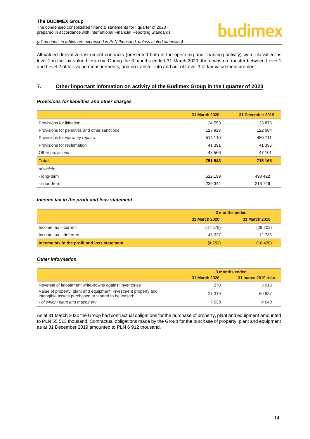All valued derivative instrument contracts (presented both in the operating and financing activity) were classified as level 2 in the fair value hierarchy. During the 3 months ended 31 March 2020, there was no transfer between Level 1 and Level 2 of fair value measurements, and no transfer into and out of Level 3 of fair value measurement.

#### <span id="page-14-0"></span>**7. Other important infomation on activity of the Budimex Group in the I quarter of 2020**

#### *Provisions for liabilities and other charges*

|                                              | 31 March 2020 | 31 December 2019 |
|----------------------------------------------|---------------|------------------|
| Provisions for litigation                    | 24 5 53       | 23 876           |
| Provisions for penalties and other sanctions | 127 923       | 122 084          |
| Provisions for warranty repairs              | 514 110       | 480 711          |
| Provisions for reclamation                   | 41 391        | 41 396           |
| Other provisions                             | 43 566        | 47 101           |
| <b>Total</b>                                 | 751 543       | 715 168          |
| of which:                                    |               |                  |
| - long-term                                  | 522 199       | 498 422          |
| - short-term                                 | 229 344       | 216 746          |

#### *Income tax in the profit and loss statement*

|                                             | 3 months ended |               |  |
|---------------------------------------------|----------------|---------------|--|
|                                             | 31 March 2020  | 31 March 2019 |  |
| Income $tax - current$                      | (47579)        | (29 203)      |  |
| Income tax - deferred                       | 43 327         | 12 733        |  |
| Income tax in the profit and loss statement | (4252)         | (16 470)      |  |

#### *Other information*

|                                                                                                                         | 3 months ended |                    |  |
|-------------------------------------------------------------------------------------------------------------------------|----------------|--------------------|--|
|                                                                                                                         | 31 March 2020  | 31 marca 2019 roku |  |
| Reversal of impairment write-downs against inventories                                                                  | 270            | 3018               |  |
| Value of property, plant and equipment, investment property and<br>intangible assets purchased or started to be leased: | 27 310         | 60 687             |  |
| - of which: plant and machinery                                                                                         | 7558           | 4 643              |  |

<span id="page-14-1"></span>As at 31 March 2020 the Group had contractual obligations for the purchase of property, plant and equipment amounted to PLN 55 513 thousand. Contractual obligations made by the Group for the purchase of property, plant and equipment as at 31 December 2019 amounted to PLN 6 912 thousand.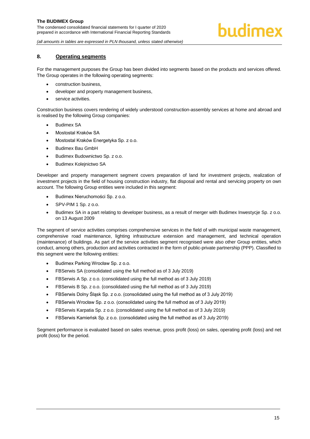*(all amounts in tables are expressed in PLN thousand, unless stated otherwise)*

#### **8. Operating segments**

For the management purposes the Group has been divided into segments based on the products and services offered. The Group operates in the following operating segments:

- construction business,
- developer and property management business,
- service activities.

Construction business covers rendering of widely understood construction-assembly services at home and abroad and is realised by the following Group companies:

- Budimex SA
- Mostostal Kraków SA
- Mostostal Kraków Energetyka Sp. z o.o.
- Budimex Bau GmbH
- Budimex Budownictwo Sp. z o.o.
- Budimex Kolejnictwo SA

Developer and property management segment covers preparation of land for investment projects, realization of investment projects in the field of housing construction industry, flat disposal and rental and servicing property on own account. The following Group entities were included in this segment:

- Budimex Nieruchomości Sp. z o.o.
- SPV-PIM 1 Sp. z o.o.
- Budimex SA in a part relating to developer business, as a result of merger with Budimex Inwestycje Sp. z o.o. on 13 August 2009

The segment of service activities comprises comprehensive services in the field of with municipal waste management, comprehensive road maintenance, lighting infrastructure extension and management, and technical operation (maintenance) of buildings. As part of the service activities segment recognised were also other Group entities, which conduct, among others, production and activities contracted in the form of public-private partnership (PPP). Classified to this segment were the following entities:

- Budimex Parking Wrocław Sp. z o.o.
- FBSerwis SA (consolidated using the full method as of 3 July 2019)
- FBSerwis A Sp. z o.o. (consolidated using the full method as of 3 July 2019)
- FBSerwis B Sp. z o.o. (consolidated using the full method as of 3 July 2019)
- FBSerwis Dolny Śląsk Sp. z o.o. (consolidated using the full method as of 3 July 2019)
- FBSerwis Wrocław Sp. z o.o. (consolidated using the full method as of 3 July 2019)
- FBSerwis Karpatia Sp. z o.o. (consolidated using the full method as of 3 July 2019)
- FBSerwis Kamieńsk Sp. z o.o. (consolidated using the full method as of 3 July 2019)

Segment performance is evaluated based on sales revenue, gross profit (loss) on sales, operating profit (loss) and net profit (loss) for the period.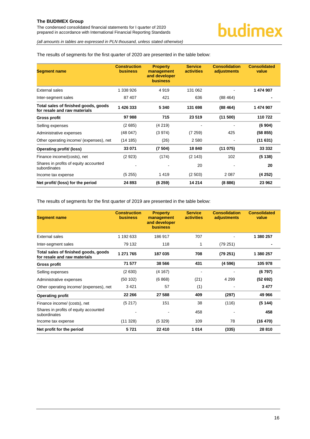*(all amounts in tables are expressed in PLN thousand, unless stated otherwise)*

#### The results of segments for the first quarter of 2020 are presented in the table below:

| <b>Segment name</b>                                                  | <b>Construction</b><br><b>business</b> | <b>Property</b><br>management<br>and developer<br><b>business</b> | <b>Service</b><br><b>activities</b> | <b>Consolidation</b><br>adjustments | <b>Consolidated</b><br>value |
|----------------------------------------------------------------------|----------------------------------------|-------------------------------------------------------------------|-------------------------------------|-------------------------------------|------------------------------|
| External sales                                                       | 1 338 926                              | 4919                                                              | 131 062                             |                                     | 1 474 907                    |
| Inter-segment sales                                                  | 87 407                                 | 421                                                               | 636                                 | (88464)                             |                              |
| Total sales of finished goods, goods<br>for resale and raw materials | 1 426 333                              | 5 3 4 0                                                           | 131 698                             | (88464)                             | 1 474 907                    |
| Gross profit                                                         | 97988                                  | 715                                                               | 23 519                              | (11 500)                            | 110722                       |
| Selling expenses                                                     | (2685)                                 | (4219)                                                            |                                     |                                     | (6904)                       |
| Administrative expenses                                              | (48047)                                | (3974)                                                            | (7259)                              | 425                                 | (58855)                      |
| Other operating income/ (expenses), net                              | (14185)                                | (26)                                                              | 2 5 8 0                             |                                     | (11631)                      |
| Operating profit/ (loss)                                             | 33 071                                 | (7504)                                                            | 18 840                              | (11075)                             | 33 332                       |
| Finance income/(costs), net                                          | (2923)                                 | (174)                                                             | (2 143)                             | 102                                 | (5138)                       |
| Shares in profits of equity accounted<br>subordinates                |                                        |                                                                   | 20                                  |                                     | 20                           |
| Income tax expense                                                   | (5255)                                 | 1419                                                              | (2 503)                             | 2 0 8 7                             | (4252)                       |
| Net profit/ (loss) for the period                                    | 24 893                                 | (6259)                                                            | 14 214                              | (8886)                              | 23 962                       |

The results of segments for the first quarter of 2019 are presented in the table below:

| <b>Segment name</b>                                                  | <b>Construction</b><br><b>business</b> | <b>Property</b><br>management<br>and developer<br><b>business</b> | <b>Service</b><br><b>activities</b> | <b>Consolidation</b><br>adjustments | <b>Consolidated</b><br>value |
|----------------------------------------------------------------------|----------------------------------------|-------------------------------------------------------------------|-------------------------------------|-------------------------------------|------------------------------|
| <b>External sales</b>                                                | 1 192 633                              | 186 917                                                           | 707                                 |                                     | 1 380 257                    |
| Inter-segment sales                                                  | 79 132                                 | 118                                                               | 1                                   | (79 251)                            |                              |
| Total sales of finished goods, goods<br>for resale and raw materials | 1 271 765                              | 187 035                                                           | 708                                 | (79 251)                            | 1 380 257                    |
| <b>Gross profit</b>                                                  | 71 577                                 | 38 566                                                            | 431                                 | (4596)                              | 105 978                      |
| Selling expenses                                                     | (2630)                                 | (4167)                                                            | $\overline{a}$                      |                                     | (6797)                       |
| Administrative expenses                                              | (50102)                                | (6868)                                                            | (21)                                | 4 2 9 9                             | (52692)                      |
| Other operating income/ (expenses), net                              | 3421                                   | 57                                                                | (1)                                 |                                     | 3477                         |
| <b>Operating profit</b>                                              | 22 266                                 | 27 588                                                            | 409                                 | (297)                               | 49 966                       |
| Finance income/ (costs), net                                         | (5217)                                 | 151                                                               | 38                                  | (116)                               | (5144)                       |
| Shares in profits of equity accounted<br>subordinates                |                                        |                                                                   | 458                                 |                                     | 458                          |
| Income tax expense                                                   | (11328)                                | (5329)                                                            | 109                                 | 78                                  | (16 470)                     |
| Net profit for the period                                            | 5721                                   | 22 410                                                            | 1014                                | (335)                               | 28 810                       |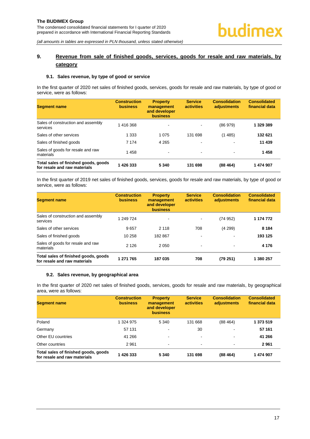# <span id="page-17-0"></span>**9. Revenue from sale of finished goods, services, goods for resale and raw materials, by category**

#### <span id="page-17-1"></span>**9.1. Sales revenue, by type of good or service**

In the first quarter of 2020 net sales of finished goods, services, goods for resale and raw materials, by type of good or service, were as follows:

| <b>Segment name</b>                                                  | <b>Construction</b><br><b>business</b> | <b>Property</b><br>management<br>and developer<br><b>business</b> | <b>Service</b><br><b>activities</b> | <b>Consolidation</b><br>adjustments | <b>Consolidated</b><br>financial data |
|----------------------------------------------------------------------|----------------------------------------|-------------------------------------------------------------------|-------------------------------------|-------------------------------------|---------------------------------------|
| Sales of construction and assembly<br>services                       | 1 416 368                              | $\sim$                                                            | $\blacksquare$                      | (86979)                             | 1 329 389                             |
| Sales of other services                                              | 1 3 3 3                                | 1 0 7 5                                                           | 131 698                             | (1485)                              | 132 621                               |
| Sales of finished goods                                              | 7 1 7 4                                | 4 2 6 5                                                           | $\,$                                | $\overline{\phantom{a}}$            | 11 439                                |
| Sales of goods for resale and raw<br>materials                       | 1458                                   | $\,$                                                              | $\,$                                | $\overline{\phantom{a}}$            | 1458                                  |
| Total sales of finished goods, goods<br>for resale and raw materials | 1426333                                | 5 3 4 0                                                           | 131 698                             | (88464)                             | 1 474 907                             |

In the first quarter of 2019 net sales of finished goods, services, goods for resale and raw materials, by type of good or service, were as follows:

| <b>Segment name</b>                                                  | <b>Construction</b><br><b>business</b> | <b>Property</b><br>management<br>and developer<br><b>business</b> | <b>Service</b><br><b>activities</b> | <b>Consolidation</b><br>adjustments | <b>Consolidated</b><br>financial data |
|----------------------------------------------------------------------|----------------------------------------|-------------------------------------------------------------------|-------------------------------------|-------------------------------------|---------------------------------------|
| Sales of construction and assembly<br>services                       | 1 249 724                              | $\blacksquare$                                                    | $\sim$                              | (74 952)                            | 1 174 772                             |
| Sales of other services                                              | 9657                                   | 2 1 1 8                                                           | 708                                 | (4299)                              | 8 1 8 4                               |
| Sales of finished goods                                              | 10 258                                 | 182 867                                                           | $\,$                                | $\overline{\phantom{a}}$            | 193 125                               |
| Sales of goods for resale and raw<br>materials                       | 2 1 2 6                                | 2 0 5 0                                                           | $\overline{\phantom{a}}$            | $\overline{\phantom{a}}$            | 4 1 7 6                               |
| Total sales of finished goods, goods<br>for resale and raw materials | 1 271 765                              | 187 035                                                           | 708                                 | (79 251)                            | 1 380 257                             |

#### <span id="page-17-2"></span>**9.2. Sales revenue, by geographical area**

In the first quarter of 2020 net sales of finished goods, services, goods for resale and raw materials, by geographical area, were as follows:

| <b>Segment name</b>                                                  | <b>Construction</b><br><b>business</b> | <b>Property</b><br>management<br>and developer<br><b>business</b> | <b>Service</b><br><b>activities</b> | <b>Consolidation</b><br>adjustments | <b>Consolidated</b><br>financial data |
|----------------------------------------------------------------------|----------------------------------------|-------------------------------------------------------------------|-------------------------------------|-------------------------------------|---------------------------------------|
| Poland                                                               | 1 324 975                              | 5 3 4 0                                                           | 131 668                             | (88464)                             | 1 373 519                             |
| Germany                                                              | 57 131                                 | $\blacksquare$                                                    | 30                                  | $\blacksquare$                      | 57 161                                |
| Other EU countries                                                   | 41 266                                 | $\,$                                                              | $\overline{\phantom{a}}$            | $\,$                                | 41 266                                |
| Other countries                                                      | 2961                                   | $\sim$                                                            | $\,$                                | $\blacksquare$                      | 2961                                  |
| Total sales of finished goods, goods<br>for resale and raw materials | 1426333                                | 5 3 4 0                                                           | 131 698                             | (88464)                             | 1 474 907                             |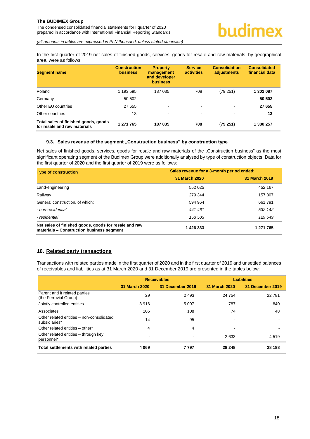*(all amounts in tables are expressed in PLN thousand, unless stated otherwise)*

In the first quarter of 2019 net sales of finished goods, services, goods for resale and raw materials, by geographical area, were as follows:

| <b>Segment name</b>                                                  | <b>Construction</b><br><b>business</b> | <b>Property</b><br>management<br>and developer<br><b>business</b> | <b>Service</b><br>activities | <b>Consolidation</b><br>adjustments | <b>Consolidated</b><br>financial data |
|----------------------------------------------------------------------|----------------------------------------|-------------------------------------------------------------------|------------------------------|-------------------------------------|---------------------------------------|
| Poland                                                               | 1 193 595                              | 187 035                                                           | 708                          | (79 251)                            | 1 302 087                             |
| Germany                                                              | 50 502                                 | $\overline{\phantom{a}}$                                          | $\blacksquare$               | $\,$                                | 50 502                                |
| Other EU countries                                                   | 27 655                                 | $\sim$                                                            | $\,$                         | $\overline{\phantom{a}}$            | 27 655                                |
| Other countries                                                      | 13                                     | $\sim$                                                            | $\blacksquare$               | $\blacksquare$                      | 13                                    |
| Total sales of finished goods, goods<br>for resale and raw materials | 1 271 765                              | 187 035                                                           | 708                          | (79 251)                            | 1 380 257                             |

#### <span id="page-18-0"></span>**9.3. Sales revenue of the segment "Construction business" by construction type**

Net sales of finished goods, services, goods for resale and raw materials of the "Construction business" as the most significant operating segment of the Budimex Group were additionally analysed by type of construction objects. Data for the first quarter of 2020 and the first quarter of 2019 were as follows:

| <b>Type of construction</b>                                                                        | Sales revenue for a 3-month period ended: |               |  |  |
|----------------------------------------------------------------------------------------------------|-------------------------------------------|---------------|--|--|
|                                                                                                    | 31 March 2020                             | 31 March 2019 |  |  |
| Land-engineering                                                                                   | 552 025                                   | 452 167       |  |  |
| Railway                                                                                            | 279 344                                   | 157 807       |  |  |
| General construction, of which:                                                                    | 594 964                                   | 661 791       |  |  |
| - non-residential                                                                                  | 441 461                                   | 532 142       |  |  |
| - residential                                                                                      | 153 503                                   | 129 649       |  |  |
| Net sales of finished goods, goods for resale and raw<br>materials - Construction business segment | 1 426 333                                 | 1 271 765     |  |  |

#### <span id="page-18-1"></span>**10. Related party transactions**

Transactions with related parties made in the first quarter of 2020 and in the first quarter of 2019 and unsettled balances of receivables and liabilities as at 31 March 2020 and 31 December 2019 are presented in the tables below:

|                                                            |               | <b>Receivables</b> | <b>Liabilities</b> |                  |  |
|------------------------------------------------------------|---------------|--------------------|--------------------|------------------|--|
|                                                            | 31 March 2020 | 31 December 2019   | 31 March 2020      | 31 December 2019 |  |
| Parent and it related parties<br>(the Ferrovial Group)     | 29            | 2 4 9 3            | 24 754             | 22 781           |  |
| Jointly controlled entities                                | 3916          | 5 0 9 7            | 787                | 840              |  |
| Associates                                                 | 106           | 108                | 74                 | 48               |  |
| Other related entities - non-consolidated<br>subsidiaries* | 14            | 95                 |                    |                  |  |
| Other related entities - other*                            | 4             | 4                  |                    |                  |  |
| Other related entities – through key<br>personnel*         |               |                    | 2633               | 4 5 1 9          |  |
| Total settlements with related parties                     | 4 0 6 9       | 7 797              | 28 248             | 28 188           |  |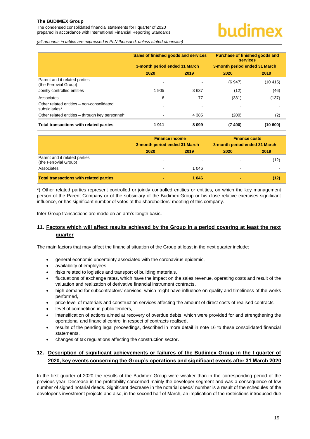The condensed consolidated financial statements for I quarter of 2020 prepared in accordance with International Financial Reporting Standards

# undimex

*(all amounts in tables are expressed in PLN thousand, unless stated otherwise)*

|                                                                          | Sales of finished goods and services<br>3-month period ended 31 March |         | Purchase of finished goods and<br>services<br>3-month period ended 31 March |          |
|--------------------------------------------------------------------------|-----------------------------------------------------------------------|---------|-----------------------------------------------------------------------------|----------|
|                                                                          | 2020                                                                  | 2019    | 2020                                                                        | 2019     |
| Parent and it related parties<br>(the Ferrovial Group)                   |                                                                       |         | (6947)                                                                      | (10 415) |
| Jointly controlled entities                                              | 1 905                                                                 | 3637    | (12)                                                                        | (46)     |
| Associates<br>Other related entities - non-consolidated<br>subsidiaries* | 6                                                                     | 77      | (331)                                                                       | (137)    |
| Other related entities - through key personnel*                          |                                                                       | 4 3 8 5 | (200)                                                                       | (2)      |
| Total transactions with related parties                                  | 1911                                                                  | 8099    | (7490)                                                                      | (10600)  |

|                                                        | <b>Finance income</b><br>3-month period ended 31 March |         | <b>Finance costs</b><br>3-month period ended 31 March |      |
|--------------------------------------------------------|--------------------------------------------------------|---------|-------------------------------------------------------|------|
|                                                        | 2020                                                   | 2019    | 2020                                                  | 2019 |
| Parent and it related parties<br>(the Ferrovial Group) |                                                        | $\sim$  | -                                                     | (12) |
| Associates                                             |                                                        | 1 0 4 6 | $\,$                                                  |      |
| <b>Total transactions with related parties</b>         | ٠                                                      | 1 0 4 6 |                                                       | (12) |

\*) Other related parties represent controlled or jointly controlled entities or entities, on which the key management person of the Parent Company or of the subsidiary of the Budimex Group or his close relative exercises significant influence, or has significant number of votes at the shareholders' meeting of this company.

Inter-Group transactions are made on an arm's length basis.

# <span id="page-19-0"></span>**11. Factors which will affect results achieved by the Group in a period covering at least the next quarter**

The main factors that may affect the financial situation of the Group at least in the next quarter include:

- general economic uncertainty associated with the coronavirus epidemic,
- availability of employees,
- risks related to logistics and transport of building materials,
- fluctuations of exchange rates, which have the impact on the sales revenue, operating costs and result of the valuation and realization of derivative financial instrument contracts,
- high demand for subcontractors' services, which might have influence on quality and timeliness of the works performed,
- price level of materials and construction services affecting the amount of direct costs of realised contracts,
- level of competition in public tenders.
- intensification of actions aimed at recovery of overdue debts, which were provided for and strengthening the operational and financial control in respect of contracts realised,
- results of the pending legal proceedings, described in more detail in note 16 to these consolidated financial statements,
- changes of tax regulations affecting the construction sector.

### <span id="page-19-1"></span>**12. Description of significant achievements or failures of the Budimex Group in the I quarter of 2020, key events concerning the Group's operations and significant events after 31 March 2020**

In the first quarter of 2020 the results of the Budimex Group were weaker than in the corresponding period of the previous year. Decrease in the profitability concerned mainly the developer segment and was a consequence of low number of signed notarial deeds. Significant decrease in the notarial deeds' number is a result of the schedules of the developer's investment projects and also, in the second half of March, an implication of the restrictions introduced due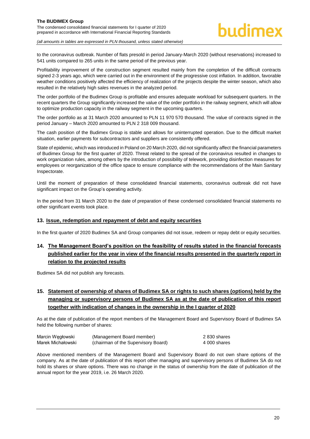to the coronavirus outbreak. Number of flats presold in period January-March 2020 (without reservations) increased to 541 units compared to 265 units in the same period of the previous year.

Profitability improvement of the construction segment resulted mainly from the completion of the difficult contracts signed 2-3 years ago, which were carried out in the environment of the progressive cost inflation. In addition, favorable weather conditions positively affected the efficiency of realization of the projects despite the winter season, which also resulted in the relatively high sales revenues in the analyzed period.

The order portfolio of the Budimex Group is profitable and ensures adequate workload for subsequent quarters. In the recent quarters the Group significantly increased the value of the order portfolio in the railway segment, which will allow to optimize production capacity in the railway segment in the upcoming quarters.

The order portfolio as at 31 March 2020 amounted to PLN 11 970 570 thousand. The value of contracts signed in the period January – March 2020 amounted to PLN 2 318 009 thousand.

The cash position of the Budimex Group is stable and allows for uninterrupted operation. Due to the difficult market situation, earlier payments for subcontractors and suppliers are consistently offered.

State of epidemic, which was introduced in Poland on 20 March 2020, did not significantly affect the financial parameters of Budimex Group for the first quarter of 2020. Threat related to the spread of the coronavirus resulted in changes to work organization rules, among others by the introduction of possibility of telework, providing disinfection measures for employees or reorganization of the office space to ensure compliance with the recommendations of the Main Sanitary Inspectorate.

Until the moment of preparation of these consolidated financial statements, coronavirus outbreak did not have significant impact on the Group's operating activity.

In the period from 31 March 2020 to the date of preparation of these condensed consolidated financial statements no other significant events took place.

#### <span id="page-20-0"></span>**13. Issue, redemption and repayment of debt and equity securities**

In the first quarter of 2020 Budimex SA and Group companies did not issue, redeem or repay debt or equity securities.

# <span id="page-20-1"></span>**14. The Management Board's position on the feasibility of results stated in the financial forecasts published earlier for the year in view of the financial results presented in the quarterly report in relation to the projected results**

Budimex SA did not publish any forecasts.

# <span id="page-20-2"></span>**15. Statement of ownership of shares of Budimex SA or rights to such shares (options) held by the managing or supervisory persons of Budimex SA as at the date of publication of this report together with indication of changes in the ownership in the I quarter of 2020**

As at the date of publication of the report members of the Management Board and Supervisory Board of Budimex SA held the following number of shares:

| Marcin Węgłowski  | (Management Board member)           | 2 830 shares |
|-------------------|-------------------------------------|--------------|
| Marek Michałowski | (chairman of the Supervisory Board) | 4 000 shares |

Above mentioned members of the Management Board and Supervisory Board do not own share options of the company. As at the date of publication of this report other managing and supervisory persons of Budimex SA do not hold its shares or share options. There was no change in the status of ownership from the date of publication of the annual report for the year 2019, i.e. 26 March 2020.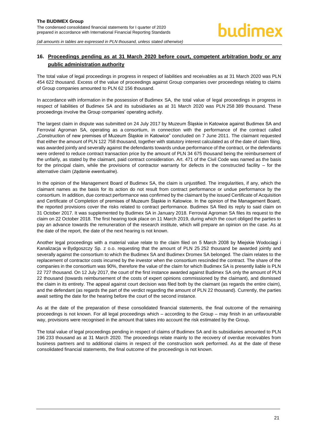# <span id="page-21-0"></span>**16. Proceedings pending as at 31 March 2020 before court, competent arbitration body or any public administration authority**

The total value of legal proceedings in progress in respect of liabilities and receivables as at 31 March 2020 was PLN 454 622 thousand. Excess of the value of proceedings against Group companies over proceedings relating to claims of Group companies amounted to PLN 62 156 thousand.

In accordance with information in the possession of Budimex SA, the total value of legal proceedings in progress in respect of liabilities of Budimex SA and its subsidiaries as at 31 March 2020 was PLN 258 389 thousand. These proceedings involve the Group companies' operating activity.

The largest claim in dispute was submitted on 24 July 2017 by Muzeum Śląskie in Katowice against Budimex SA and Ferrovial Agroman SA, operating as a consortium, in connection with the performance of the contract called "Construction of new premises of Muzeum Śląskie in Katowice" concluded on 7 June 2011. The claimant requested that either the amount of PLN 122 758 thousand, together with statutory interest calculated as of the date of claim filing, was awarded jointly and severally against the defendants towards undue performance of the contract, or the defendants were ordered to reduce contract transaction price by the amount of PLN 34 675 thousand being the reimbursement of the unfairly, as stated by the claimant, paid contract consideration. Art. 471 of the Civil Code was named as the basis for the principal claim, while the provisions of contractor warranty for defects in the constructed facility – for the alternative claim (*żądanie ewentualne*).

In the opinion of the Management Board of Budimex SA, the claim is unjustified. The irregularities, if any, which the claimant names as the basis for its action do not result from contract performance or undue performance by the consortium. In addition, due contract performance was confirmed by the claimant by the issued Certificate of Acquisition and Certificate of Completion of premises of Muzeum Śląskie in Katowice. In the opinion of the Management Board, the reported provisions cover the risks related to contract performance. Budimex SA filed its reply to said claim on 31 October 2017. It was supplemented by Budimex SA in January 2018. Ferrovial Agroman SA files its request to the claim on 22 October 2018. The first hearing took place on 11 March 2019, during which the court obliged the parties to pay an advance towards the remuneration of the research institute, which will prepare an opinion on the case. As at the date of the report, the date of the next hearing is not known.

Another legal proceedings with a material value relate to the claim filed on 5 March 2008 by Miejskie Wodociągi i Kanalizacja w Bydgoszczy Sp. z o.o. requesting that the amount of PLN 25 252 thousand be awarded jointly and severally against the consortium to which the Budimex SA and Budimex Dromex SA belonged. The claim relates to the replacement of contractor costs incurred by the investor when the consortium rescinded the contract. The share of the companies in the consortium was 90%, therefore the value of the claim for which Budimex SA is presently liable is PLN 22 727 thousand. On 12 July 2017, the court of the first instance awarded against Budimex SA only the amount of PLN 22 thousand (towards reimbursement of the costs of expert opinions commissioned by the claimant), and dismissed the claim in its entirety. The appeal against court decision was filed both by the claimant (as regards the entire claim), and the defendant (as regards the part of the verdict regarding the amount of PLN 22 thousand). Currently, the parties await setting the date for the hearing before the court of the second instance.

As at the date of the preparation of these consolidated financial statements, the final outcome of the remaining proceedings is not known. For all legal proceedings which – according to the Group – may finish in an unfavourable way, provisions were recognised in the amount that takes into account the risk estimated by the Group.

The total value of legal proceedings pending in respect of claims of Budimex SA and its subsidiaries amounted to PLN 196 233 thousand as at 31 March 2020. The proceedings relate mainly to the recovery of overdue receivables from business partners and to additional claims in respect of the construction work performed. As at the date of these consolidated financial statements, the final outcome of the proceedings is not known.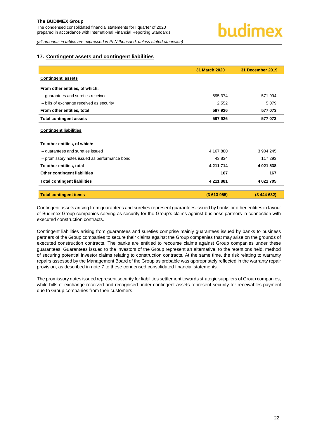#### <span id="page-22-0"></span>**17. Contingent assets and contingent liabilities**

|                                               | <b>31 March 2020</b> | 31 December 2019 |
|-----------------------------------------------|----------------------|------------------|
| <b>Contingent assets</b>                      |                      |                  |
| From other entities, of which:                |                      |                  |
| - guarantees and sureties received            | 595 374              | 571 994          |
| - bills of exchange received as security      | 2 5 5 2              | 5079             |
| From other entities, total                    | 597 926              | 577 073          |
| <b>Total contingent assets</b>                | 597 926              | 577 073          |
| <b>Contingent liabilities</b>                 |                      |                  |
| To other entities, of which:                  |                      |                  |
| - guarantees and sureties issued              | 4 167 880            | 3 904 245        |
| - promissory notes issued as performance bond | 43 834               | 117 293          |
| To other entities, total                      | 4 211 714            | 4 021 538        |
| Other contingent liabilities                  | 167                  | 167              |
| <b>Total contingent liabilities</b>           | 4 211 881            | 4 021 705        |
| <b>Total contingent items</b>                 | (3613955)            | (3444632)        |

Contingent assets arising from guarantees and sureties represent guarantees issued by banks or other entities in favour of Budimex Group companies serving as security for the Group's claims against business partners in connection with executed construction contracts.

Contingent liabilities arising from guarantees and sureties comprise mainly guarantees issued by banks to business partners of the Group companies to secure their claims against the Group companies that may arise on the grounds of executed construction contracts. The banks are entitled to recourse claims against Group companies under these guarantees. Guarantees issued to the investors of the Group represent an alternative, to the retentions held, method of securing potential investor claims relating to construction contracts. At the same time, the risk relating to warranty repairs assessed by the Management Board of the Group as probable was appropriately reflected in the warranty repair provision, as described in note 7 to these condensed consolidated financial statements.

The promissory notes issued represent security for liabilities settlement towards strategic suppliers of Group companies, while bills of exchange received and recognised under contingent assets represent security for receivables payment due to Group companies from their customers.